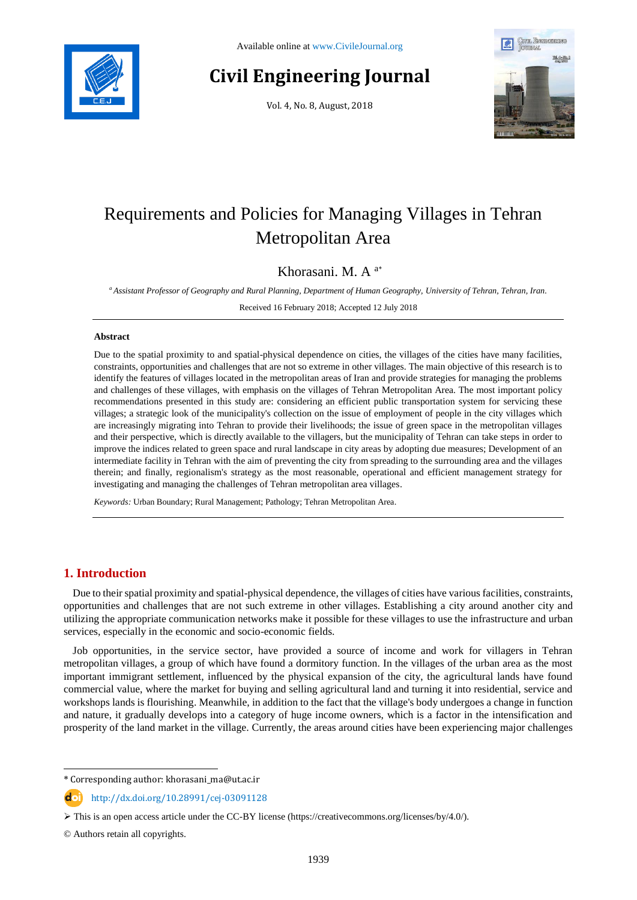

# **Civil Engineering Journal**

Vol. 4, No. 8, August, 2018



# Requirements and Policies for Managing Villages in Tehran Metropolitan Area

# Khorasani. M. A <sup>a</sup>\*

*<sup>a</sup> Assistant Professor of Geography and Rural Planning, Department of Human Geography, University of Tehran, Tehran, Iran.*

Received 16 February 2018; Accepted 12 July 2018

### **Abstract**

Due to the spatial proximity to and spatial-physical dependence on cities, the villages of the cities have many facilities, constraints, opportunities and challenges that are not so extreme in other villages. The main objective of this research is to identify the features of villages located in the metropolitan areas of Iran and provide strategies for managing the problems and challenges of these villages, with emphasis on the villages of Tehran Metropolitan Area. The most important policy recommendations presented in this study are: considering an efficient public transportation system for servicing these villages; a strategic look of the municipality's collection on the issue of employment of people in the city villages which are increasingly migrating into Tehran to provide their livelihoods; the issue of green space in the metropolitan villages and their perspective, which is directly available to the villagers, but the municipality of Tehran can take steps in order to improve the indices related to green space and rural landscape in city areas by adopting due measures; Development of an intermediate facility in Tehran with the aim of preventing the city from spreading to the surrounding area and the villages therein; and finally, regionalism's strategy as the most reasonable, operational and efficient management strategy for investigating and managing the challenges of Tehran metropolitan area villages.

*Keywords:* Urban Boundary; Rural Management; Pathology; Tehran Metropolitan Area.

# **1. Introduction**

Due to their spatial proximity and spatial-physical dependence, the villages of cities have various facilities, constraints, opportunities and challenges that are not such extreme in other villages. Establishing a city around another city and utilizing the appropriate communication networks make it possible for these villages to use the infrastructure and urban services, especially in the economic and socio-economic fields.

Job opportunities, in the service sector, have provided a source of income and work for villagers in Tehran metropolitan villages, a group of which have found a dormitory function. In the villages of the urban area as the most important immigrant settlement, influenced by the physical expansion of the city, the agricultural lands have found commercial value, where the market for buying and selling agricultural land and turning it into residential, service and workshops lands is flourishing. Meanwhile, in addition to the fact that the village's body undergoes a change in function and nature, it gradually develops into a category of huge income owners, which is a factor in the intensification and prosperity of the land market in the village. Currently, the areas around cities have been experiencing major challenges

l

<sup>\*</sup> Corresponding author: khorasani\_ma@ut.ac.ir

http://dx.doi.org/10.28991/cej-03091128

This is an open access article under the CC-BY license [\(https://creativecommons.org/licenses/by/4.0/\)](https://creativecommons.org/licenses/by/4.0/).

<sup>©</sup> Authors retain all copyrights.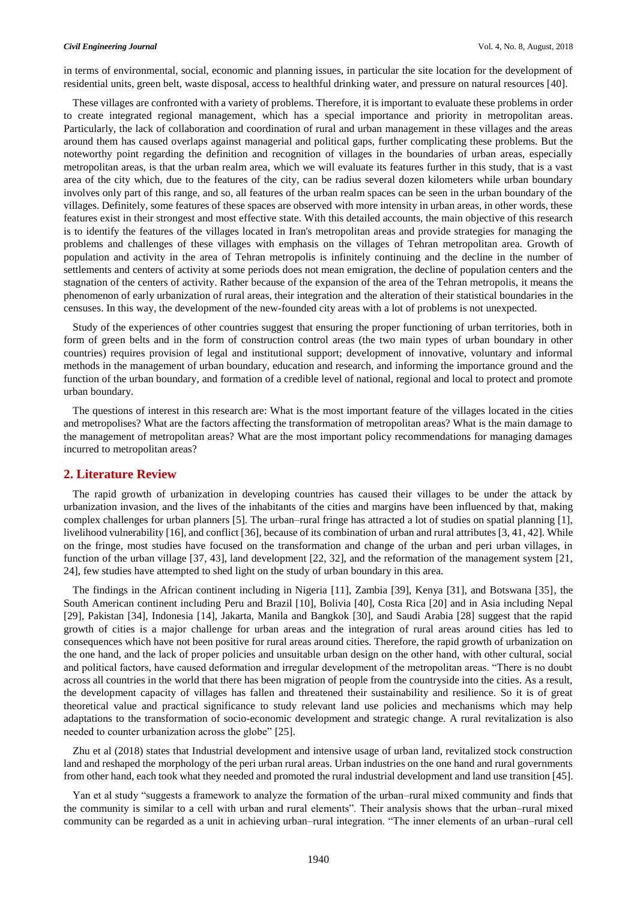in terms of environmental, social, economic and planning issues, in particular the site location for the development of residential units, green belt, waste disposal, access to healthful drinking water, and pressure on natural resources [40].

These villages are confronted with a variety of problems. Therefore, it is important to evaluate these problems in order to create integrated regional management, which has a special importance and priority in metropolitan areas. Particularly, the lack of collaboration and coordination of rural and urban management in these villages and the areas around them has caused overlaps against managerial and political gaps, further complicating these problems. But the noteworthy point regarding the definition and recognition of villages in the boundaries of urban areas, especially metropolitan areas, is that the urban realm area, which we will evaluate its features further in this study, that is a vast area of the city which, due to the features of the city, can be radius several dozen kilometers while urban boundary involves only part of this range, and so, all features of the urban realm spaces can be seen in the urban boundary of the villages. Definitely, some features of these spaces are observed with more intensity in urban areas, in other words, these features exist in their strongest and most effective state. With this detailed accounts, the main objective of this research is to identify the features of the villages located in Iran's metropolitan areas and provide strategies for managing the problems and challenges of these villages with emphasis on the villages of Tehran metropolitan area. Growth of population and activity in the area of Tehran metropolis is infinitely continuing and the decline in the number of settlements and centers of activity at some periods does not mean emigration, the decline of population centers and the stagnation of the centers of activity. Rather because of the expansion of the area of the Tehran metropolis, it means the phenomenon of early urbanization of rural areas, their integration and the alteration of their statistical boundaries in the censuses. In this way, the development of the new-founded city areas with a lot of problems is not unexpected.

Study of the experiences of other countries suggest that ensuring the proper functioning of urban territories, both in form of green belts and in the form of construction control areas (the two main types of urban boundary in other countries) requires provision of legal and institutional support; development of innovative, voluntary and informal methods in the management of urban boundary, education and research, and informing the importance ground and the function of the urban boundary, and formation of a credible level of national, regional and local to protect and promote urban boundary.

The questions of interest in this research are: What is the most important feature of the villages located in the cities and metropolises? What are the factors affecting the transformation of metropolitan areas? What is the main damage to the management of metropolitan areas? What are the most important policy recommendations for managing damages incurred to metropolitan areas?

# **2. Literature Review**

The rapid growth of urbanization in developing countries has caused their villages to be under the attack by urbanization invasion, and the lives of the inhabitants of the cities and margins have been influenced by that, making complex challenges for urban planners [5]. The urban–rural fringe has attracted a lot of studies on spatial planning [1], livelihood vulnerability [16], and conflict [36], because of its combination of urban and rural attributes [3, 41, 42]. While on the fringe, most studies have focused on the transformation and change of the urban and peri urban villages, in function of the urban village [37, 43], land development [22, 32], and the reformation of the management system [21, 24], few studies have attempted to shed light on the study of urban boundary in this area.

The findings in the African continent including in Nigeria [11], Zambia [39], Kenya [31], and Botswana [35], the South American continent including Peru and Brazil [10], Bolivia [40], Costa Rica [20] and in Asia including Nepal [29], Pakistan [34], Indonesia [14], Jakarta, Manila and Bangkok [30], and Saudi Arabia [28] suggest that the rapid growth of cities is a major challenge for urban areas and the integration of rural areas around cities has led to consequences which have not been positive for rural areas around cities. Therefore, the rapid growth of urbanization on the one hand, and the lack of proper policies and unsuitable urban design on the other hand, with other cultural, social and political factors, have caused deformation and irregular development of the metropolitan areas. "There is no doubt across all countries in the world that there has been migration of people from the countryside into the cities. As a result, the development capacity of villages has fallen and threatened their sustainability and resilience. So it is of great theoretical value and practical significance to study relevant land use policies and mechanisms which may help adaptations to the transformation of socio-economic development and strategic change. A rural revitalization is also needed to counter urbanization across the globe" [25].

Zhu et al (2018) states that Industrial development and intensive usage of urban land, revitalized stock construction land and reshaped the morphology of the peri urban rural areas. Urban industries on the one hand and rural governments from other hand, each took what they needed and promoted the rural industrial development and land use transition [45].

Yan et al study "suggests a framework to analyze the formation of the urban–rural mixed community and finds that the community is similar to a cell with urban and rural elements". Their analysis shows that the urban–rural mixed community can be regarded as a unit in achieving urban–rural integration. "The inner elements of an urban–rural cell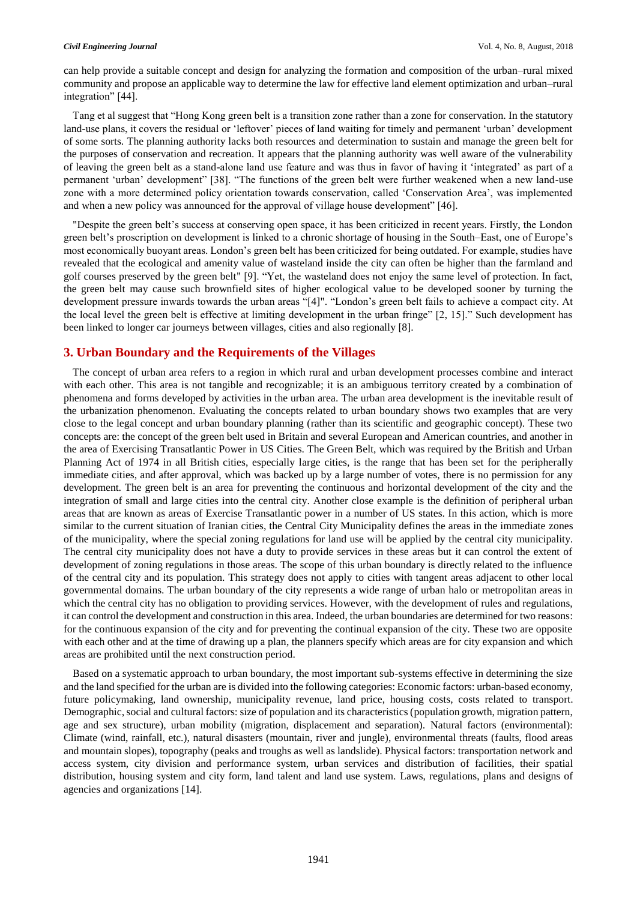can help provide a suitable concept and design for analyzing the formation and composition of the urban–rural mixed community and propose an applicable way to determine the law for effective land element optimization and urban–rural integration" [44].

Tang et al suggest that "Hong Kong green belt is a transition zone rather than a zone for conservation. In the statutory land-use plans, it covers the residual or 'leftover' pieces of land waiting for timely and permanent 'urban' development of some sorts. The planning authority lacks both resources and determination to sustain and manage the green belt for the purposes of conservation and recreation. It appears that the planning authority was well aware of the vulnerability of leaving the green belt as a stand-alone land use feature and was thus in favor of having it 'integrated' as part of a permanent 'urban' development" [38]. "The functions of the green belt were further weakened when a new land-use zone with a more determined policy orientation towards conservation, called 'Conservation Area', was implemented and when a new policy was announced for the approval of village house development" [46].

"Despite the green belt's success at conserving open space, it has been criticized in recent years. Firstly, the London green belt's proscription on development is linked to a chronic shortage of housing in the South–East, one of Europe's most economically buoyant areas. London's green belt has been criticized for being outdated. For example, studies have revealed that the ecological and amenity value of wasteland inside the city can often be higher than the farmland and golf courses preserved by the green belt" [9]. "Yet, the wasteland does not enjoy the same level of protection. In fact, the green belt may cause such brownfield sites of higher ecological value to be developed sooner by turning the development pressure inwards towards the urban areas "[4]". "London's green belt fails to achieve a compact city. At the local level the green belt is effective at limiting development in the urban fringe" [2, 15]." Such development has been linked to longer car journeys between villages, cities and also regionally [8].

# **3. Urban Boundary and the Requirements of the Villages**

The concept of urban area refers to a region in which rural and urban development processes combine and interact with each other. This area is not tangible and recognizable; it is an ambiguous territory created by a combination of phenomena and forms developed by activities in the urban area. The urban area development is the inevitable result of the urbanization phenomenon. Evaluating the concepts related to urban boundary shows two examples that are very close to the legal concept and urban boundary planning (rather than its scientific and geographic concept). These two concepts are: the concept of the green belt used in Britain and several European and American countries, and another in the area of Exercising Transatlantic Power in US Cities. The Green Belt, which was required by the British and Urban Planning Act of 1974 in all British cities, especially large cities, is the range that has been set for the peripherally immediate cities, and after approval, which was backed up by a large number of votes, there is no permission for any development. The green belt is an area for preventing the continuous and horizontal development of the city and the integration of small and large cities into the central city. Another close example is the definition of peripheral urban areas that are known as areas of Exercise Transatlantic power in a number of US states. In this action, which is more similar to the current situation of Iranian cities, the Central City Municipality defines the areas in the immediate zones of the municipality, where the special zoning regulations for land use will be applied by the central city municipality. The central city municipality does not have a duty to provide services in these areas but it can control the extent of development of zoning regulations in those areas. The scope of this urban boundary is directly related to the influence of the central city and its population. This strategy does not apply to cities with tangent areas adjacent to other local governmental domains. The urban boundary of the city represents a wide range of urban halo or metropolitan areas in which the central city has no obligation to providing services. However, with the development of rules and regulations, it can control the development and construction in this area. Indeed, the urban boundaries are determined for two reasons: for the continuous expansion of the city and for preventing the continual expansion of the city. These two are opposite with each other and at the time of drawing up a plan, the planners specify which areas are for city expansion and which areas are prohibited until the next construction period.

Based on a systematic approach to urban boundary, the most important sub-systems effective in determining the size and the land specified for the urban are is divided into the following categories: Economic factors: urban-based economy, future policymaking, land ownership, municipality revenue, land price, housing costs, costs related to transport. Demographic, social and cultural factors: size of population and its characteristics (population growth, migration pattern, age and sex structure), urban mobility (migration, displacement and separation). Natural factors (environmental): Climate (wind, rainfall, etc.), natural disasters (mountain, river and jungle), environmental threats (faults, flood areas and mountain slopes), topography (peaks and troughs as well as landslide). Physical factors: transportation network and access system, city division and performance system, urban services and distribution of facilities, their spatial distribution, housing system and city form, land talent and land use system. Laws, regulations, plans and designs of agencies and organizations [14].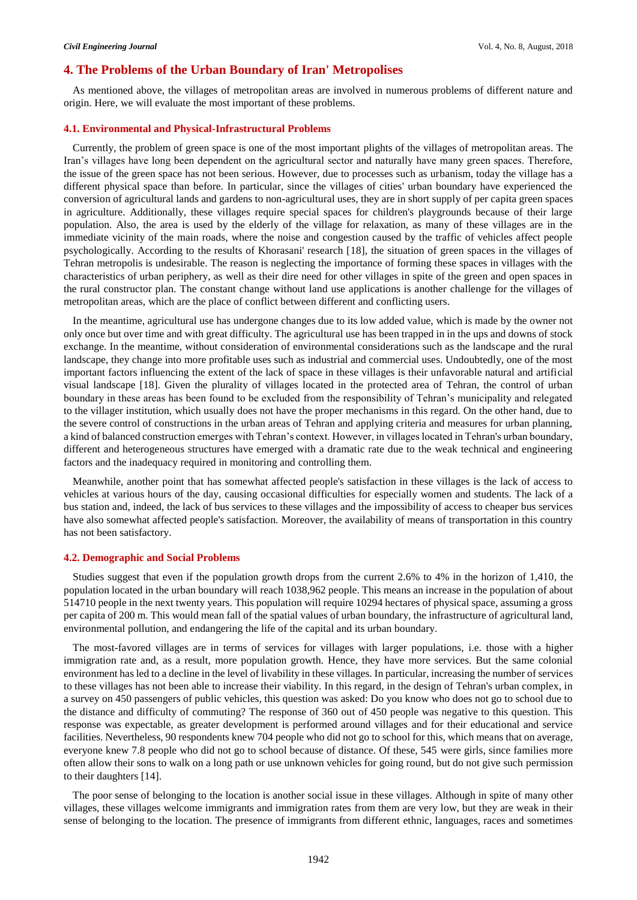## **4. The Problems of the Urban Boundary of Iran' Metropolises**

As mentioned above, the villages of metropolitan areas are involved in numerous problems of different nature and origin. Here, we will evaluate the most important of these problems.

### **4.1. Environmental and Physical-Infrastructural Problems**

Currently, the problem of green space is one of the most important plights of the villages of metropolitan areas. The Iran's villages have long been dependent on the agricultural sector and naturally have many green spaces. Therefore, the issue of the green space has not been serious. However, due to processes such as urbanism, today the village has a different physical space than before. In particular, since the villages of cities' urban boundary have experienced the conversion of agricultural lands and gardens to non-agricultural uses, they are in short supply of per capita green spaces in agriculture. Additionally, these villages require special spaces for children's playgrounds because of their large population. Also, the area is used by the elderly of the village for relaxation, as many of these villages are in the immediate vicinity of the main roads, where the noise and congestion caused by the traffic of vehicles affect people psychologically. According to the results of Khorasani' research [18], the situation of green spaces in the villages of Tehran metropolis is undesirable. The reason is neglecting the importance of forming these spaces in villages with the characteristics of urban periphery, as well as their dire need for other villages in spite of the green and open spaces in the rural constructor plan. The constant change without land use applications is another challenge for the villages of metropolitan areas, which are the place of conflict between different and conflicting users.

In the meantime, agricultural use has undergone changes due to its low added value, which is made by the owner not only once but over time and with great difficulty. The agricultural use has been trapped in in the ups and downs of stock exchange. In the meantime, without consideration of environmental considerations such as the landscape and the rural landscape, they change into more profitable uses such as industrial and commercial uses. Undoubtedly, one of the most important factors influencing the extent of the lack of space in these villages is their unfavorable natural and artificial visual landscape [18]. Given the plurality of villages located in the protected area of Tehran, the control of urban boundary in these areas has been found to be excluded from the responsibility of Tehran's municipality and relegated to the villager institution, which usually does not have the proper mechanisms in this regard. On the other hand, due to the severe control of constructions in the urban areas of Tehran and applying criteria and measures for urban planning, a kind of balanced construction emerges with Tehran's context. However, in villages located in Tehran's urban boundary, different and heterogeneous structures have emerged with a dramatic rate due to the weak technical and engineering factors and the inadequacy required in monitoring and controlling them.

Meanwhile, another point that has somewhat affected people's satisfaction in these villages is the lack of access to vehicles at various hours of the day, causing occasional difficulties for especially women and students. The lack of a bus station and, indeed, the lack of bus services to these villages and the impossibility of access to cheaper bus services have also somewhat affected people's satisfaction. Moreover, the availability of means of transportation in this country has not been satisfactory.

### **4.2. Demographic and Social Problems**

Studies suggest that even if the population growth drops from the current 2.6% to 4% in the horizon of 1,410, the population located in the urban boundary will reach 1038,962 people. This means an increase in the population of about 514710 people in the next twenty years. This population will require 10294 hectares of physical space, assuming a gross per capita of 200 m. This would mean fall of the spatial values of urban boundary, the infrastructure of agricultural land, environmental pollution, and endangering the life of the capital and its urban boundary.

The most-favored villages are in terms of services for villages with larger populations, i.e. those with a higher immigration rate and, as a result, more population growth. Hence, they have more services. But the same colonial environment has led to a decline in the level of livability in these villages. In particular, increasing the number of services to these villages has not been able to increase their viability. In this regard, in the design of Tehran's urban complex, in a survey on 450 passengers of public vehicles, this question was asked: Do you know who does not go to school due to the distance and difficulty of commuting? The response of 360 out of 450 people was negative to this question. This response was expectable, as greater development is performed around villages and for their educational and service facilities. Nevertheless, 90 respondents knew 704 people who did not go to school for this, which means that on average, everyone knew 7.8 people who did not go to school because of distance. Of these, 545 were girls, since families more often allow their sons to walk on a long path or use unknown vehicles for going round, but do not give such permission to their daughters [14].

The poor sense of belonging to the location is another social issue in these villages. Although in spite of many other villages, these villages welcome immigrants and immigration rates from them are very low, but they are weak in their sense of belonging to the location. The presence of immigrants from different ethnic, languages, races and sometimes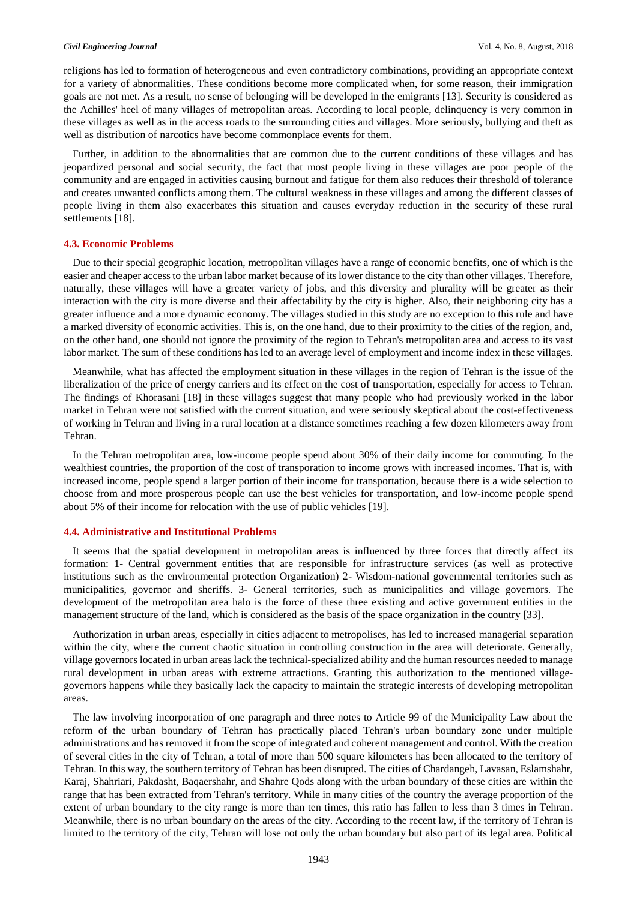#### *Civil Engineering Journal* Vol. 4, No. 8, August, 2018

religions has led to formation of heterogeneous and even contradictory combinations, providing an appropriate context for a variety of abnormalities. These conditions become more complicated when, for some reason, their immigration goals are not met. As a result, no sense of belonging will be developed in the emigrants [13]. Security is considered as the Achilles' heel of many villages of metropolitan areas. According to local people, delinquency is very common in these villages as well as in the access roads to the surrounding cities and villages. More seriously, bullying and theft as well as distribution of narcotics have become commonplace events for them.

Further, in addition to the abnormalities that are common due to the current conditions of these villages and has jeopardized personal and social security, the fact that most people living in these villages are poor people of the community and are engaged in activities causing burnout and fatigue for them also reduces their threshold of tolerance and creates unwanted conflicts among them. The cultural weakness in these villages and among the different classes of people living in them also exacerbates this situation and causes everyday reduction in the security of these rural settlements [18].

### **4.3. Economic Problems**

Due to their special geographic location, metropolitan villages have a range of economic benefits, one of which is the easier and cheaper access to the urban labor market because of its lower distance to the city than other villages. Therefore, naturally, these villages will have a greater variety of jobs, and this diversity and plurality will be greater as their interaction with the city is more diverse and their affectability by the city is higher. Also, their neighboring city has a greater influence and a more dynamic economy. The villages studied in this study are no exception to this rule and have a marked diversity of economic activities. This is, on the one hand, due to their proximity to the cities of the region, and, on the other hand, one should not ignore the proximity of the region to Tehran's metropolitan area and access to its vast labor market. The sum of these conditions has led to an average level of employment and income index in these villages.

Meanwhile, what has affected the employment situation in these villages in the region of Tehran is the issue of the liberalization of the price of energy carriers and its effect on the cost of transportation, especially for access to Tehran. The findings of Khorasani [18] in these villages suggest that many people who had previously worked in the labor market in Tehran were not satisfied with the current situation, and were seriously skeptical about the cost-effectiveness of working in Tehran and living in a rural location at a distance sometimes reaching a few dozen kilometers away from Tehran.

In the Tehran metropolitan area, low-income people spend about 30% of their daily income for commuting. In the wealthiest countries, the proportion of the cost of transporation to income grows with increased incomes. That is, with increased income, people spend a larger portion of their income for transportation, because there is a wide selection to choose from and more prosperous people can use the best vehicles for transportation, and low-income people spend about 5% of their income for relocation with the use of public vehicles [19].

## **4.4. Administrative and Institutional Problems**

It seems that the spatial development in metropolitan areas is influenced by three forces that directly affect its formation: 1- Central government entities that are responsible for infrastructure services (as well as protective institutions such as the environmental protection Organization) 2- Wisdom-national governmental territories such as municipalities, governor and sheriffs. 3- General territories, such as municipalities and village governors. The development of the metropolitan area halo is the force of these three existing and active government entities in the management structure of the land, which is considered as the basis of the space organization in the country [33].

Authorization in urban areas, especially in cities adjacent to metropolises, has led to increased managerial separation within the city, where the current chaotic situation in controlling construction in the area will deteriorate. Generally, village governors located in urban areas lack the technical-specialized ability and the human resources needed to manage rural development in urban areas with extreme attractions. Granting this authorization to the mentioned villagegovernors happens while they basically lack the capacity to maintain the strategic interests of developing metropolitan areas.

The law involving incorporation of one paragraph and three notes to Article 99 of the Municipality Law about the reform of the urban boundary of Tehran has practically placed Tehran's urban boundary zone under multiple administrations and has removed it from the scope of integrated and coherent management and control. With the creation of several cities in the city of Tehran, a total of more than 500 square kilometers has been allocated to the territory of Tehran. In this way, the southern territory of Tehran has been disrupted. The cities of Chardangeh, Lavasan, Eslamshahr, Karaj, Shahriari, Pakdasht, Baqaershahr, and Shahre Qods along with the urban boundary of these cities are within the range that has been extracted from Tehran's territory. While in many cities of the country the average proportion of the extent of urban boundary to the city range is more than ten times, this ratio has fallen to less than 3 times in Tehran. Meanwhile, there is no urban boundary on the areas of the city. According to the recent law, if the territory of Tehran is limited to the territory of the city, Tehran will lose not only the urban boundary but also part of its legal area. Political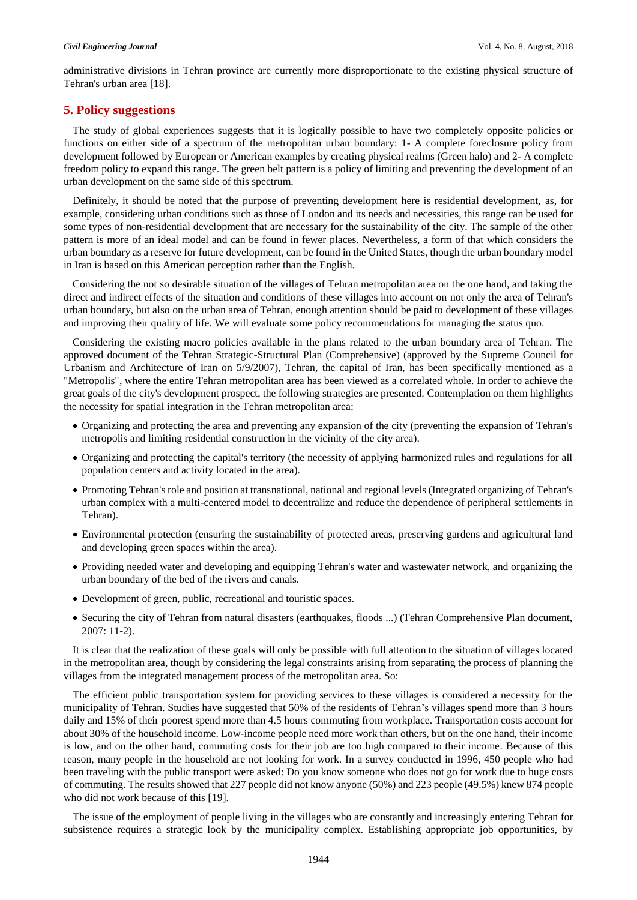administrative divisions in Tehran province are currently more disproportionate to the existing physical structure of Tehran's urban area [18].

# **5. Policy suggestions**

The study of global experiences suggests that it is logically possible to have two completely opposite policies or functions on either side of a spectrum of the metropolitan urban boundary: 1- A complete foreclosure policy from development followed by European or American examples by creating physical realms (Green halo) and 2- A complete freedom policy to expand this range. The green belt pattern is a policy of limiting and preventing the development of an urban development on the same side of this spectrum.

Definitely, it should be noted that the purpose of preventing development here is residential development, as, for example, considering urban conditions such as those of London and its needs and necessities, this range can be used for some types of non-residential development that are necessary for the sustainability of the city. The sample of the other pattern is more of an ideal model and can be found in fewer places. Nevertheless, a form of that which considers the urban boundary as a reserve for future development, can be found in the United States, though the urban boundary model in Iran is based on this American perception rather than the English.

Considering the not so desirable situation of the villages of Tehran metropolitan area on the one hand, and taking the direct and indirect effects of the situation and conditions of these villages into account on not only the area of Tehran's urban boundary, but also on the urban area of Tehran, enough attention should be paid to development of these villages and improving their quality of life. We will evaluate some policy recommendations for managing the status quo.

Considering the existing macro policies available in the plans related to the urban boundary area of Tehran. The approved document of the Tehran Strategic-Structural Plan (Comprehensive) (approved by the Supreme Council for Urbanism and Architecture of Iran on 5/9/2007), Tehran, the capital of Iran, has been specifically mentioned as a "Metropolis", where the entire Tehran metropolitan area has been viewed as a correlated whole. In order to achieve the great goals of the city's development prospect, the following strategies are presented. Contemplation on them highlights the necessity for spatial integration in the Tehran metropolitan area:

- Organizing and protecting the area and preventing any expansion of the city (preventing the expansion of Tehran's metropolis and limiting residential construction in the vicinity of the city area).
- Organizing and protecting the capital's territory (the necessity of applying harmonized rules and regulations for all population centers and activity located in the area).
- Promoting Tehran's role and position at transnational, national and regional levels (Integrated organizing of Tehran's urban complex with a multi-centered model to decentralize and reduce the dependence of peripheral settlements in Tehran).
- Environmental protection (ensuring the sustainability of protected areas, preserving gardens and agricultural land and developing green spaces within the area).
- Providing needed water and developing and equipping Tehran's water and wastewater network, and organizing the urban boundary of the bed of the rivers and canals.
- Development of green, public, recreational and touristic spaces.
- Securing the city of Tehran from natural disasters (earthquakes, floods ...) (Tehran Comprehensive Plan document, 2007: 11-2).

It is clear that the realization of these goals will only be possible with full attention to the situation of villages located in the metropolitan area, though by considering the legal constraints arising from separating the process of planning the villages from the integrated management process of the metropolitan area. So:

The efficient public transportation system for providing services to these villages is considered a necessity for the municipality of Tehran. Studies have suggested that 50% of the residents of Tehran's villages spend more than 3 hours daily and 15% of their poorest spend more than 4.5 hours commuting from workplace. Transportation costs account for about 30% of the household income. Low-income people need more work than others, but on the one hand, their income is low, and on the other hand, commuting costs for their job are too high compared to their income. Because of this reason, many people in the household are not looking for work. In a survey conducted in 1996, 450 people who had been traveling with the public transport were asked: Do you know someone who does not go for work due to huge costs of commuting. The results showed that 227 people did not know anyone (50%) and 223 people (49.5%) knew 874 people who did not work because of this [19].

The issue of the employment of people living in the villages who are constantly and increasingly entering Tehran for subsistence requires a strategic look by the municipality complex. Establishing appropriate job opportunities, by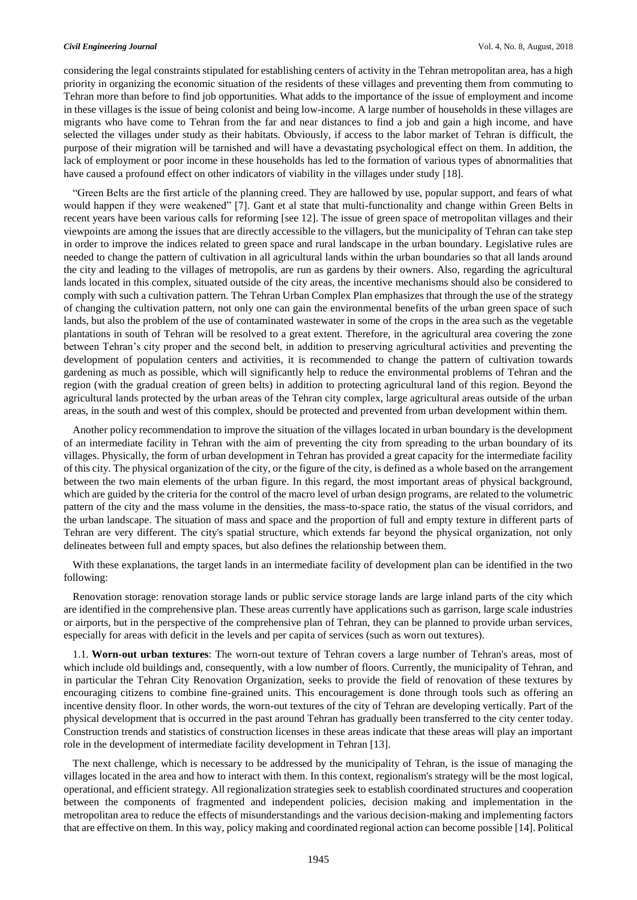#### *Civil Engineering Journal* Vol. 4, No. 8, August, 2018

considering the legal constraints stipulated for establishing centers of activity in the Tehran metropolitan area, has a high priority in organizing the economic situation of the residents of these villages and preventing them from commuting to Tehran more than before to find job opportunities. What adds to the importance of the issue of employment and income in these villages is the issue of being colonist and being low-income. A large number of households in these villages are migrants who have come to Tehran from the far and near distances to find a job and gain a high income, and have selected the villages under study as their habitats. Obviously, if access to the labor market of Tehran is difficult, the purpose of their migration will be tarnished and will have a devastating psychological effect on them. In addition, the lack of employment or poor income in these households has led to the formation of various types of abnormalities that have caused a profound effect on other indicators of viability in the villages under study [18].

"Green Belts are the first article of the planning creed. They are hallowed by use, popular support, and fears of what would happen if they were weakened" [7]. Gant et al state that multi-functionality and change within Green Belts in recent years have been various calls for reforming [see 12]. The issue of green space of metropolitan villages and their viewpoints are among the issues that are directly accessible to the villagers, but the municipality of Tehran can take step in order to improve the indices related to green space and rural landscape in the urban boundary. Legislative rules are needed to change the pattern of cultivation in all agricultural lands within the urban boundaries so that all lands around the city and leading to the villages of metropolis, are run as gardens by their owners. Also, regarding the agricultural lands located in this complex, situated outside of the city areas, the incentive mechanisms should also be considered to comply with such a cultivation pattern. The Tehran Urban Complex Plan emphasizes that through the use of the strategy of changing the cultivation pattern, not only one can gain the environmental benefits of the urban green space of such lands, but also the problem of the use of contaminated wastewater in some of the crops in the area such as the vegetable plantations in south of Tehran will be resolved to a great extent. Therefore, in the agricultural area covering the zone between Tehran's city proper and the second belt, in addition to preserving agricultural activities and preventing the development of population centers and activities, it is recommended to change the pattern of cultivation towards gardening as much as possible, which will significantly help to reduce the environmental problems of Tehran and the region (with the gradual creation of green belts) in addition to protecting agricultural land of this region. Beyond the agricultural lands protected by the urban areas of the Tehran city complex, large agricultural areas outside of the urban areas, in the south and west of this complex, should be protected and prevented from urban development within them.

Another policy recommendation to improve the situation of the villages located in urban boundary is the development of an intermediate facility in Tehran with the aim of preventing the city from spreading to the urban boundary of its villages. Physically, the form of urban development in Tehran has provided a great capacity for the intermediate facility of this city. The physical organization of the city, or the figure of the city, is defined as a whole based on the arrangement between the two main elements of the urban figure. In this regard, the most important areas of physical background, which are guided by the criteria for the control of the macro level of urban design programs, are related to the volumetric pattern of the city and the mass volume in the densities, the mass-to-space ratio, the status of the visual corridors, and the urban landscape. The situation of mass and space and the proportion of full and empty texture in different parts of Tehran are very different. The city's spatial structure, which extends far beyond the physical organization, not only delineates between full and empty spaces, but also defines the relationship between them.

With these explanations, the target lands in an intermediate facility of development plan can be identified in the two following:

Renovation storage: renovation storage lands or public service storage lands are large inland parts of the city which are identified in the comprehensive plan. These areas currently have applications such as garrison, large scale industries or airports, but in the perspective of the comprehensive plan of Tehran, they can be planned to provide urban services, especially for areas with deficit in the levels and per capita of services (such as worn out textures).

1.1. **Worn-out urban textures**: The worn-out texture of Tehran covers a large number of Tehran's areas, most of which include old buildings and, consequently, with a low number of floors. Currently, the municipality of Tehran, and in particular the Tehran City Renovation Organization, seeks to provide the field of renovation of these textures by encouraging citizens to combine fine-grained units. This encouragement is done through tools such as offering an incentive density floor. In other words, the worn-out textures of the city of Tehran are developing vertically. Part of the physical development that is occurred in the past around Tehran has gradually been transferred to the city center today. Construction trends and statistics of construction licenses in these areas indicate that these areas will play an important role in the development of intermediate facility development in Tehran [13].

The next challenge, which is necessary to be addressed by the municipality of Tehran, is the issue of managing the villages located in the area and how to interact with them. In this context, regionalism's strategy will be the most logical, operational, and efficient strategy. All regionalization strategies seek to establish coordinated structures and cooperation between the components of fragmented and independent policies, decision making and implementation in the metropolitan area to reduce the effects of misunderstandings and the various decision-making and implementing factors that are effective on them. In this way, policy making and coordinated regional action can become possible [14]. Political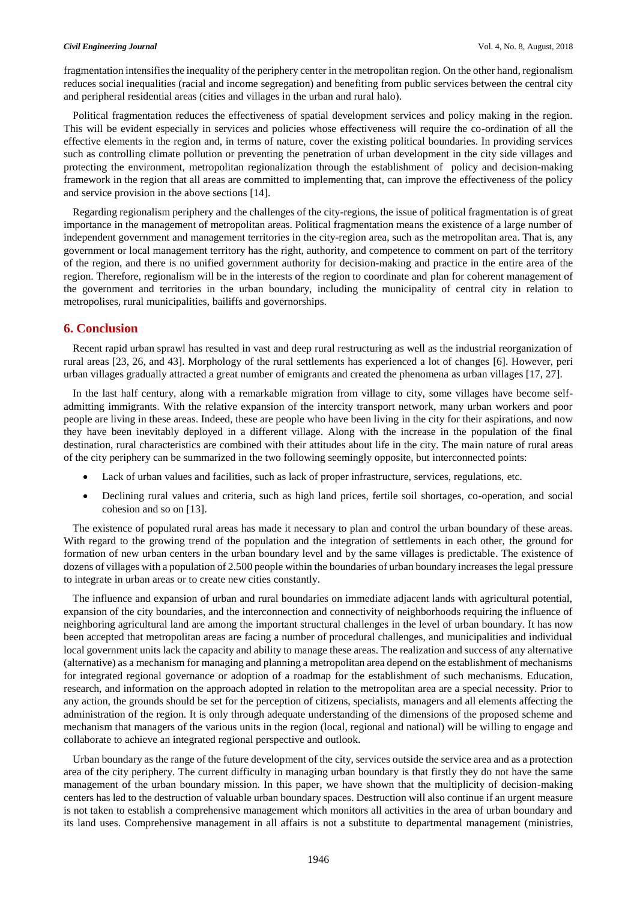fragmentation intensifies the inequality of the periphery center in the metropolitan region. On the other hand, regionalism reduces social inequalities (racial and income segregation) and benefiting from public services between the central city and peripheral residential areas (cities and villages in the urban and rural halo).

Political fragmentation reduces the effectiveness of spatial development services and policy making in the region. This will be evident especially in services and policies whose effectiveness will require the co-ordination of all the effective elements in the region and, in terms of nature, cover the existing political boundaries. In providing services such as controlling climate pollution or preventing the penetration of urban development in the city side villages and protecting the environment, metropolitan regionalization through the establishment of policy and decision-making framework in the region that all areas are committed to implementing that, can improve the effectiveness of the policy and service provision in the above sections [14].

Regarding regionalism periphery and the challenges of the city-regions, the issue of political fragmentation is of great importance in the management of metropolitan areas. Political fragmentation means the existence of a large number of independent government and management territories in the city-region area, such as the metropolitan area. That is, any government or local management territory has the right, authority, and competence to comment on part of the territory of the region, and there is no unified government authority for decision-making and practice in the entire area of the region. Therefore, regionalism will be in the interests of the region to coordinate and plan for coherent management of the government and territories in the urban boundary, including the municipality of central city in relation to metropolises, rural municipalities, bailiffs and governorships.

# **6. Conclusion**

Recent rapid urban sprawl has resulted in vast and deep rural restructuring as well as the industrial reorganization of rural areas [23, 26, and 43]. Morphology of the rural settlements has experienced a lot of changes [6]. However, peri urban villages gradually attracted a great number of emigrants and created the phenomena as urban villages [17, 27].

In the last half century, along with a remarkable migration from village to city, some villages have become selfadmitting immigrants. With the relative expansion of the intercity transport network, many urban workers and poor people are living in these areas. Indeed, these are people who have been living in the city for their aspirations, and now they have been inevitably deployed in a different village. Along with the increase in the population of the final destination, rural characteristics are combined with their attitudes about life in the city. The main nature of rural areas of the city periphery can be summarized in the two following seemingly opposite, but interconnected points:

- Lack of urban values and facilities, such as lack of proper infrastructure, services, regulations, etc.
- Declining rural values and criteria, such as high land prices, fertile soil shortages, co-operation, and social cohesion and so on [13].

The existence of populated rural areas has made it necessary to plan and control the urban boundary of these areas. With regard to the growing trend of the population and the integration of settlements in each other, the ground for formation of new urban centers in the urban boundary level and by the same villages is predictable. The existence of dozens of villages with a population of 2.500 people within the boundaries of urban boundary increases the legal pressure to integrate in urban areas or to create new cities constantly.

The influence and expansion of urban and rural boundaries on immediate adjacent lands with agricultural potential, expansion of the city boundaries, and the interconnection and connectivity of neighborhoods requiring the influence of neighboring agricultural land are among the important structural challenges in the level of urban boundary. It has now been accepted that metropolitan areas are facing a number of procedural challenges, and municipalities and individual local government units lack the capacity and ability to manage these areas. The realization and success of any alternative (alternative) as a mechanism for managing and planning a metropolitan area depend on the establishment of mechanisms for integrated regional governance or adoption of a roadmap for the establishment of such mechanisms. Education, research, and information on the approach adopted in relation to the metropolitan area are a special necessity. Prior to any action, the grounds should be set for the perception of citizens, specialists, managers and all elements affecting the administration of the region. It is only through adequate understanding of the dimensions of the proposed scheme and mechanism that managers of the various units in the region (local, regional and national) will be willing to engage and collaborate to achieve an integrated regional perspective and outlook.

Urban boundary as the range of the future development of the city, services outside the service area and as a protection area of the city periphery. The current difficulty in managing urban boundary is that firstly they do not have the same management of the urban boundary mission. In this paper, we have shown that the multiplicity of decision-making centers has led to the destruction of valuable urban boundary spaces. Destruction will also continue if an urgent measure is not taken to establish a comprehensive management which monitors all activities in the area of urban boundary and its land uses. Comprehensive management in all affairs is not a substitute to departmental management (ministries,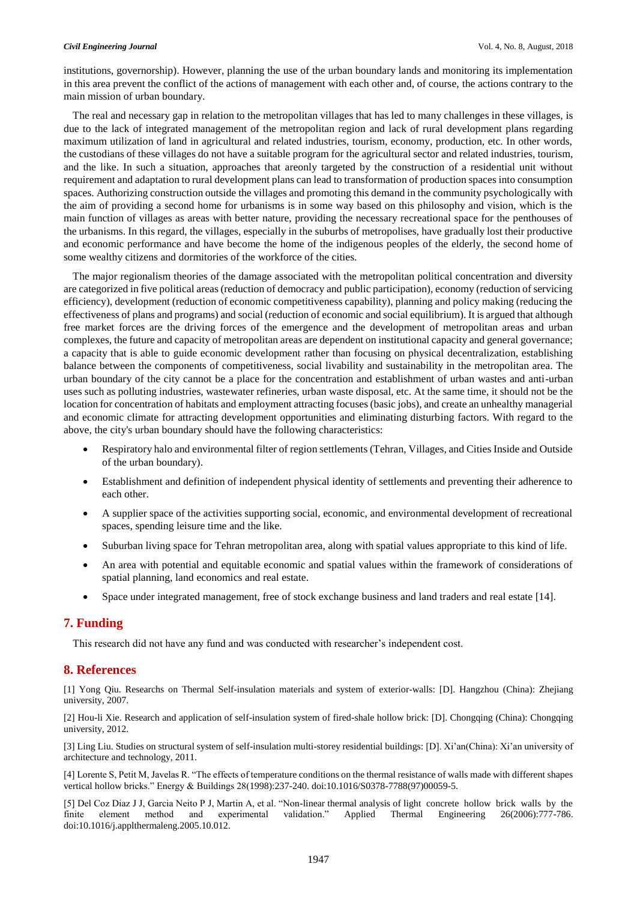#### *Civil Engineering Journal* Vol. 4, No. 8, August, 2018

institutions, governorship). However, planning the use of the urban boundary lands and monitoring its implementation in this area prevent the conflict of the actions of management with each other and, of course, the actions contrary to the main mission of urban boundary.

The real and necessary gap in relation to the metropolitan villages that has led to many challenges in these villages, is due to the lack of integrated management of the metropolitan region and lack of rural development plans regarding maximum utilization of land in agricultural and related industries, tourism, economy, production, etc. In other words, the custodians of these villages do not have a suitable program for the agricultural sector and related industries, tourism, and the like. In such a situation, approaches that areonly targeted by the construction of a residential unit without requirement and adaptation to rural development plans can lead to transformation of production spaces into consumption spaces. Authorizing construction outside the villages and promoting this demand in the community psychologically with the aim of providing a second home for urbanisms is in some way based on this philosophy and vision, which is the main function of villages as areas with better nature, providing the necessary recreational space for the penthouses of the urbanisms. In this regard, the villages, especially in the suburbs of metropolises, have gradually lost their productive and economic performance and have become the home of the indigenous peoples of the elderly, the second home of some wealthy citizens and dormitories of the workforce of the cities.

The major regionalism theories of the damage associated with the metropolitan political concentration and diversity are categorized in five political areas (reduction of democracy and public participation), economy (reduction of servicing efficiency), development (reduction of economic competitiveness capability), planning and policy making (reducing the effectiveness of plans and programs) and social (reduction of economic and social equilibrium). It is argued that although free market forces are the driving forces of the emergence and the development of metropolitan areas and urban complexes, the future and capacity of metropolitan areas are dependent on institutional capacity and general governance; a capacity that is able to guide economic development rather than focusing on physical decentralization, establishing balance between the components of competitiveness, social livability and sustainability in the metropolitan area. The urban boundary of the city cannot be a place for the concentration and establishment of urban wastes and anti-urban uses such as polluting industries, wastewater refineries, urban waste disposal, etc. At the same time, it should not be the location for concentration of habitats and employment attracting focuses (basic jobs), and create an unhealthy managerial and economic climate for attracting development opportunities and eliminating disturbing factors. With regard to the above, the city's urban boundary should have the following characteristics:

- Respiratory halo and environmental filter of region settlements (Tehran, Villages, and Cities Inside and Outside of the urban boundary).
- Establishment and definition of independent physical identity of settlements and preventing their adherence to each other.
- A supplier space of the activities supporting social, economic, and environmental development of recreational spaces, spending leisure time and the like.
- Suburban living space for Tehran metropolitan area, along with spatial values appropriate to this kind of life.
- An area with potential and equitable economic and spatial values within the framework of considerations of spatial planning, land economics and real estate.
- Space under integrated management, free of stock exchange business and land traders and real estate [14].

# **7. Funding**

This research did not have any fund and was conducted with researcher's independent cost.

# **8. References**

[1] Yong Qiu. Researchs on Thermal Self-insulation materials and system of exterior-walls: [D]. Hangzhou (China): Zhejiang university, 2007.

[2] Hou-li Xie. Research and application of self-insulation system of fired-shale hollow brick: [D]. Chongqing (China): Chongqing university, 2012.

[3] Ling Liu. Studies on structural system of self-insulation multi-storey residential buildings: [D]. Xi'an(China): Xi'an university of architecture and technology, 2011.

[4] Lorente S, Petit M, Javelas R. "The effects of temperature conditions on the thermal resistance of walls made with different shapes vertical hollow bricks." Energy & Buildings 28(1998):237-240. doi:10.1016/S0378-7788(97)00059-5.

[5] Del Coz Diaz J J, Garcia Neito P J, Martin A, et al. "Non-linear thermal analysis of light concrete hollow brick walls by the finite element method and experimental validation." Applied Thermal Engineering 26(2006):777-786. doi:10.1016/j.applthermaleng.2005.10.012.